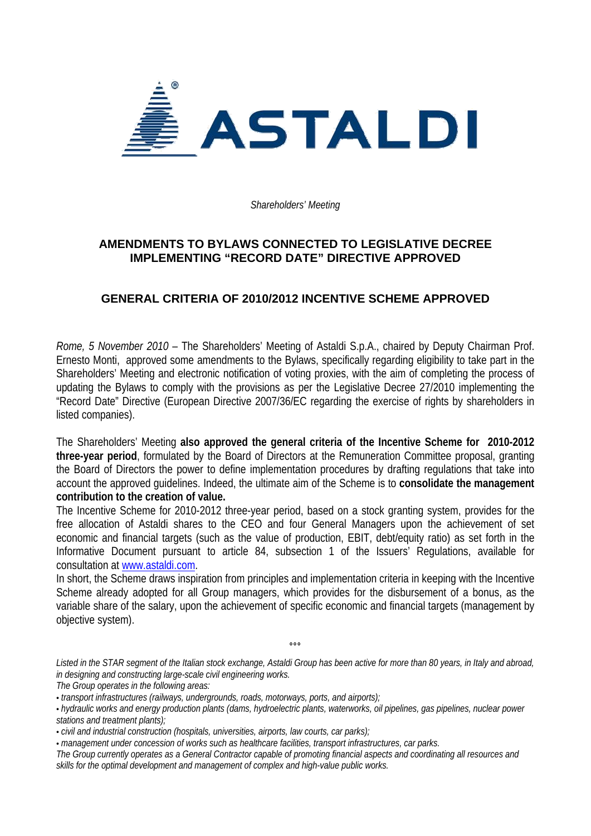

*Shareholders' Meeting* 

## **AMENDMENTS TO BYLAWS CONNECTED TO LEGISLATIVE DECREE IMPLEMENTING "RECORD DATE" DIRECTIVE APPROVED**

## **GENERAL CRITERIA OF 2010/2012 INCENTIVE SCHEME APPROVED**

*Rome, 5 November 2010* – The Shareholders' Meeting of Astaldi S.p.A., chaired by Deputy Chairman Prof. Ernesto Monti, approved some amendments to the Bylaws, specifically regarding eligibility to take part in the Shareholders' Meeting and electronic notification of voting proxies, with the aim of completing the process of updating the Bylaws to comply with the provisions as per the Legislative Decree 27/2010 implementing the "Record Date" Directive (European Directive 2007/36/EC regarding the exercise of rights by shareholders in listed companies).

The Shareholders' Meeting **also approved the general criteria of the Incentive Scheme for 2010-2012 three-year period**, formulated by the Board of Directors at the Remuneration Committee proposal, granting the Board of Directors the power to define implementation procedures by drafting regulations that take into account the approved guidelines. Indeed, the ultimate aim of the Scheme is to **consolidate the management contribution to the creation of value.**

The Incentive Scheme for 2010-2012 three-year period, based on a stock granting system, provides for the free allocation of Astaldi shares to the CEO and four General Managers upon the achievement of set economic and financial targets (such as the value of production, EBIT, debt/equity ratio) as set forth in the Informative Document pursuant to article 84, subsection 1 of the Issuers' Regulations, available for consultation at www.astaldi.com.

In short, the Scheme draws inspiration from principles and implementation criteria in keeping with the Incentive Scheme already adopted for all Group managers, which provides for the disbursement of a bonus, as the variable share of the salary, upon the achievement of specific economic and financial targets (management by objective system).

*Listed in the STAR segment of the Italian stock exchange, Astaldi Group has been active for more than 80 years, in Italy and abroad, in designing and constructing large-scale civil engineering works. The Group operates in the following areas:* 

 $\sim$ 

<sup>•</sup> *transport infrastructures (railways, undergrounds, roads, motorways, ports, and airports);* 

<sup>•</sup> *hydraulic works and energy production plants (dams, hydroelectric plants, waterworks, oil pipelines, gas pipelines, nuclear power stations and treatment plants);* 

<sup>•</sup> *civil and industrial construction (hospitals, universities, airports, law courts, car parks);* 

<sup>•</sup> *management under concession of works such as healthcare facilities, transport infrastructures, car parks.* 

*The Group currently operates as a General Contractor capable of promoting financial aspects and coordinating all resources and skills for the optimal development and management of complex and high-value public works.*